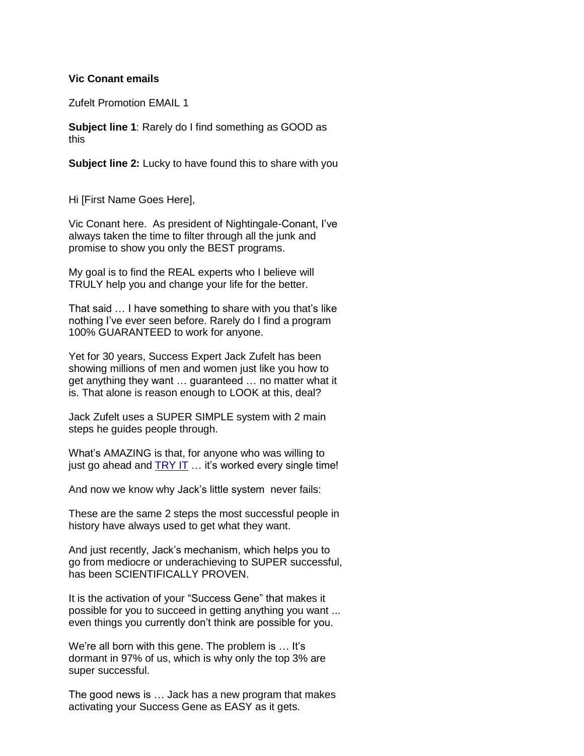## **Vic Conant emails**

Zufelt Promotion EMAIL 1

**Subject line 1**: Rarely do I find something as GOOD as this

**Subject line 2:** Lucky to have found this to share with you

Hi [First Name Goes Here],

Vic Conant here. As president of Nightingale-Conant, I've always taken the time to filter through all the junk and promise to show you only the BEST programs.

My goal is to find the REAL experts who I believe will TRULY help you and change your life for the better.

That said … I have something to share with you that's like nothing I've ever seen before. Rarely do I find a program 100% GUARANTEED to work for anyone.

Yet for 30 years, Success Expert Jack Zufelt has been showing millions of men and women just like you how to get anything they want … guaranteed … no matter what it is. That alone is reason enough to LOOK at this, deal?

Jack Zufelt uses a SUPER SIMPLE system with 2 main steps he guides people through.

What's AMAZING is that, for anyone who was willing to just go ahead and TRY IT ... it's worked every single time!

And now we know why Jack's little system never fails:

These are the same 2 steps the most successful people in history have always used to get what they want.

And just recently, Jack's mechanism, which helps you to go from mediocre or underachieving to SUPER successful, has been SCIENTIFICALLY PROVEN.

It is the activation of your "Success Gene" that makes it possible for you to succeed in getting anything you want ... even things you currently don't think are possible for you.

We're all born with this gene. The problem is ... It's dormant in 97% of us, which is why only the top 3% are super successful.

The good news is … Jack has a new program that makes activating your Success Gene as EASY as it gets.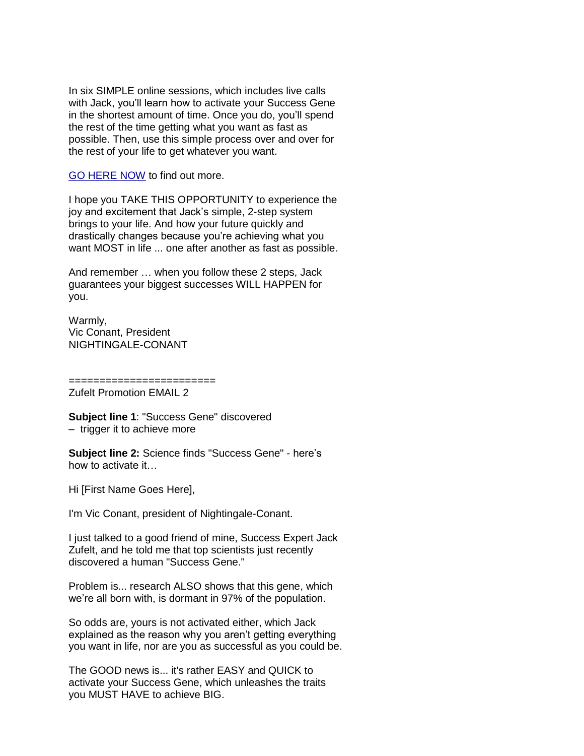In six SIMPLE online sessions, which includes live calls with Jack, you'll learn how to activate your Success Gene in the shortest amount of time. Once you do, you'll spend the rest of the time getting what you want as fast as possible. Then, use this simple process over and over for the rest of your life to get whatever you want.

GO HERE NOW to find out more.

I hope you TAKE THIS OPPORTUNITY to experience the joy and excitement that Jack's simple, 2-step system brings to your life. And how your future quickly and drastically changes because you're achieving what you want MOST in life ... one after another as fast as possible.

And remember … when you follow these 2 steps, Jack guarantees your biggest successes WILL HAPPEN for you.

Warmly, Vic Conant, President NIGHTINGALE-CONANT

======================== Zufelt Promotion EMAIL 2

**Subject line 1**: "Success Gene" discovered – trigger it to achieve more

**Subject line 2:** Science finds "Success Gene" - here's how to activate it…

Hi [First Name Goes Here],

I'm Vic Conant, president of Nightingale-Conant.

I just talked to a good friend of mine, Success Expert Jack Zufelt, and he told me that top scientists just recently discovered a human "Success Gene."

Problem is... research ALSO shows that this gene, which we're all born with, is dormant in 97% of the population.

So odds are, yours is not activated either, which Jack explained as the reason why you aren't getting everything you want in life, nor are you as successful as you could be.

The GOOD news is... it's rather EASY and QUICK to activate your Success Gene, which unleashes the traits you MUST HAVE to achieve BIG.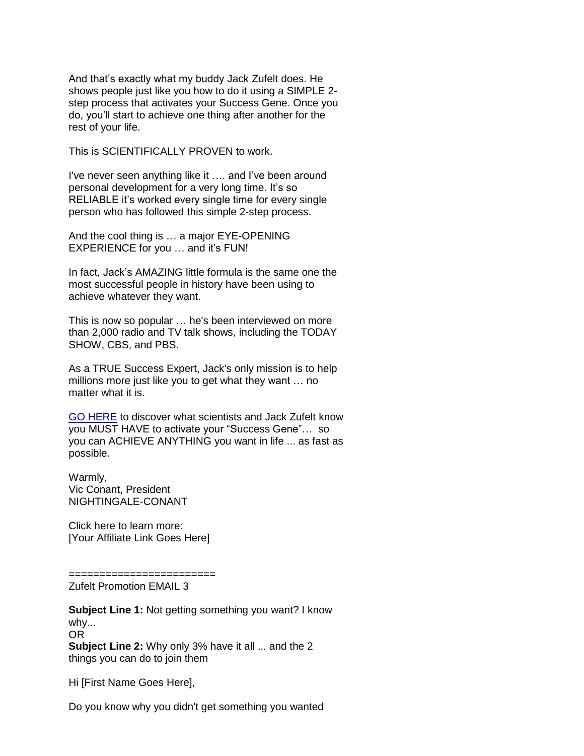And that's exactly what my buddy Jack Zufelt does. He shows people just like you how to do it using a SIMPLE 2 step process that activates your Success Gene. Once you do, you'll start to achieve one thing after another for the rest of your life.

This is SCIENTIFICALLY PROVEN to work.

I've never seen anything like it …. and I've been around personal development for a very long time. It's so RELIABLE it's worked every single time for every single person who has followed this simple 2-step process.

And the cool thing is … a major EYE-OPENING EXPERIENCE for you … and it's FUN!

In fact, Jack's AMAZING little formula is the same one the most successful people in history have been using to achieve whatever they want.

This is now so popular … he's been interviewed on more than 2,000 radio and TV talk shows, including the TODAY SHOW, CBS, and PBS.

As a TRUE Success Expert, Jack's only mission is to help millions more just like you to get what they want … no matter what it is.

GO HERE to discover what scientists and Jack Zufelt know you MUST HAVE to activate your "Success Gene"… so you can ACHIEVE ANYTHING you want in life ... as fast as possible.

Warmly, Vic Conant, President NIGHTINGALE-CONANT

Click here to learn more: [Your Affiliate Link Goes Here]

======================== Zufelt Promotion EMAIL 3

**Subject Line 1: Not getting something you want? I know** why... OR **Subject Line 2:** Why only 3% have it all ... and the 2 things you can do to join them

Hi [First Name Goes Here],

Do you know why you didn't get something you wanted